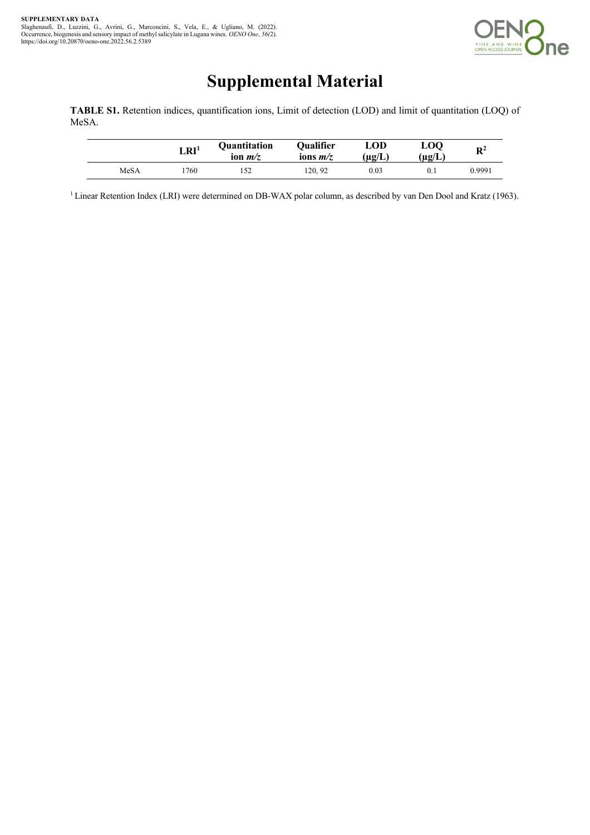

## **Supplemental Material**

**TABLE S1.** Retention indices, quantification ions, Limit of detection (LOD) and limit of quantitation (LOQ) of MeSA.

|      | $\mathbf{L}\mathbf{R}\mathbf{I}^1$ | Quantitation<br>ion $m/z$ | Qualifier<br>ions $m/z$ | LOD<br>(ug/L) | <b>LOO</b><br>$(\mu\mathfrak{g}/\mathrm{L})$ | $\mathbf{R}^2$ |
|------|------------------------------------|---------------------------|-------------------------|---------------|----------------------------------------------|----------------|
| MeSA | .760                               | 152                       | 120.92                  | 0.03          | 0.1                                          | 0.9991         |

<sup>1</sup> Linear Retention Index (LRI) were determined on DB-WAX polar column, as described by van Den Dool and Kratz (1963).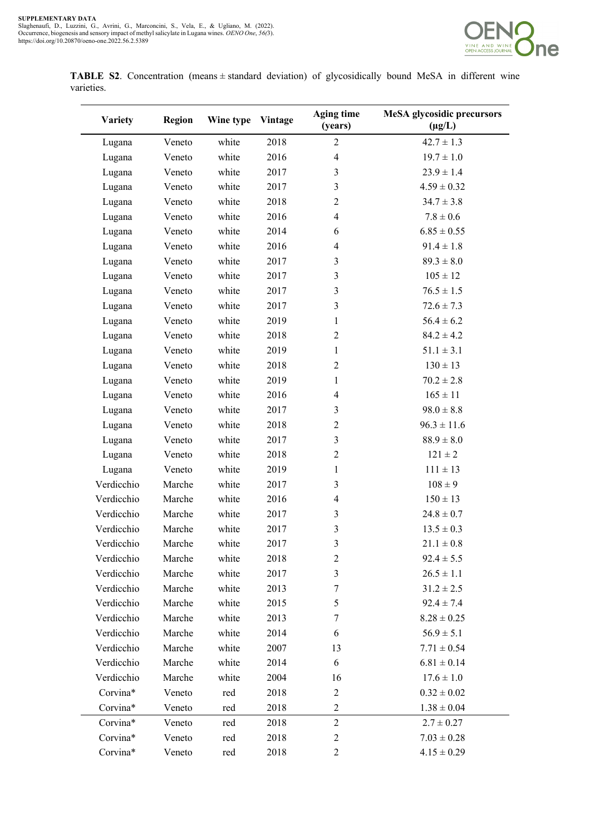

**TABLE S2**. Concentration (means ± standard deviation) of glycosidically bound MeSA in different wine varieties.

| Variety    | <b>Region</b> | Wine type | Vintage | <b>Aging time</b><br>(years) | <b>MeSA</b> glycosidic precursors<br>$(\mu g/L)$ |
|------------|---------------|-----------|---------|------------------------------|--------------------------------------------------|
| Lugana     | Veneto        | white     | 2018    | $\overline{2}$               | $42.7 \pm 1.3$                                   |
| Lugana     | Veneto        | white     | 2016    | $\overline{4}$               | $19.7 \pm 1.0$                                   |
| Lugana     | Veneto        | white     | 2017    | 3                            | $23.9 \pm 1.4$                                   |
| Lugana     | Veneto        | white     | 2017    | 3                            | $4.59 \pm 0.32$                                  |
| Lugana     | Veneto        | white     | 2018    | $\mathbf{2}$                 | $34.7 \pm 3.8$                                   |
| Lugana     | Veneto        | white     | 2016    | $\overline{4}$               | $7.8 \pm 0.6$                                    |
| Lugana     | Veneto        | white     | 2014    | 6                            | $6.85 \pm 0.55$                                  |
| Lugana     | Veneto        | white     | 2016    | $\overline{\mathcal{A}}$     | $91.4 \pm 1.8$                                   |
| Lugana     | Veneto        | white     | 2017    | $\mathfrak{Z}$               | $89.3 \pm 8.0$                                   |
| Lugana     | Veneto        | white     | 2017    | 3                            | $105 \pm 12$                                     |
| Lugana     | Veneto        | white     | 2017    | 3                            | $76.5 \pm 1.5$                                   |
| Lugana     | Veneto        | white     | 2017    | 3                            | $72.6 \pm 7.3$                                   |
| Lugana     | Veneto        | white     | 2019    | $\mathbf{1}$                 | $56.4 \pm 6.2$                                   |
| Lugana     | Veneto        | white     | 2018    | $\overline{2}$               | $84.2 \pm 4.2$                                   |
| Lugana     | Veneto        | white     | 2019    | $\mathbf{1}$                 | $51.1 \pm 3.1$                                   |
| Lugana     | Veneto        | white     | 2018    | $\overline{2}$               | $130 \pm 13$                                     |
| Lugana     | Veneto        | white     | 2019    | $\mathbf{1}$                 | $70.2 \pm 2.8$                                   |
| Lugana     | Veneto        | white     | 2016    | $\overline{4}$               | $165 \pm 11$                                     |
| Lugana     | Veneto        | white     | 2017    | 3                            | $98.0 \pm 8.8$                                   |
| Lugana     | Veneto        | white     | 2018    | $\mathbf{2}$                 | $96.3 \pm 11.6$                                  |
| Lugana     | Veneto        | white     | 2017    | $\mathfrak{Z}$               | $88.9 \pm 8.0$                                   |
| Lugana     | Veneto        | white     | 2018    | $\mathbf{2}$                 | $121 \pm 2$                                      |
| Lugana     | Veneto        | white     | 2019    | $\mathbf{1}$                 | $111 \pm 13$                                     |
| Verdicchio | Marche        | white     | 2017    | $\mathfrak{Z}$               | $108 \pm 9$                                      |
| Verdicchio | Marche        | white     | 2016    | $\overline{\mathcal{A}}$     | $150 \pm 13$                                     |
| Verdicchio | Marche        | white     | 2017    | 3                            | $24.8 \pm 0.7$                                   |
| Verdicchio | Marche        | white     | 2017    | 3                            | $13.5 \pm 0.3$                                   |
| Verdicchio | Marche        | white     | 2017    | $\overline{\mathbf{3}}$      | $21.1\pm0.8$                                     |
| Verdicchio | Marche        | white     | 2018    | $\mathfrak{2}$               | $92.4 \pm 5.5$                                   |
| Verdicchio | Marche        | white     | 2017    | $\overline{3}$               | $26.5 \pm 1.1$                                   |
| Verdicchio | Marche        | white     | 2013    | 7                            | $31.2 \pm 2.5$                                   |
| Verdicchio | Marche        | white     | 2015    | 5                            | $92.4 \pm 7.4$                                   |
| Verdicchio | Marche        | white     | 2013    | 7                            | $8.28 \pm 0.25$                                  |
| Verdicchio | Marche        | white     | 2014    | 6                            | $56.9 \pm 5.1$                                   |
| Verdicchio | Marche        | white     | 2007    | 13                           | $7.71 \pm 0.54$                                  |
| Verdicchio | Marche        | white     | 2014    | 6                            | $6.81 \pm 0.14$                                  |
| Verdicchio | Marche        | white     | 2004    | 16                           | $17.6 \pm 1.0$                                   |
| Corvina*   | Veneto        | red       | 2018    | $\overline{c}$               | $0.32 \pm 0.02$                                  |
| Corvina*   | Veneto        | red       | 2018    | $\overline{c}$               | $1.38 \pm 0.04$                                  |
| Corvina*   | Veneto        | red       | 2018    | $\overline{2}$               | $2.7 \pm 0.27$                                   |
| Corvina*   | Veneto        | red       | 2018    | $\overline{c}$               | $7.03 \pm 0.28$                                  |
| Corvina*   | Veneto        | red       | 2018    | $\overline{c}$               | $4.15 \pm 0.29$                                  |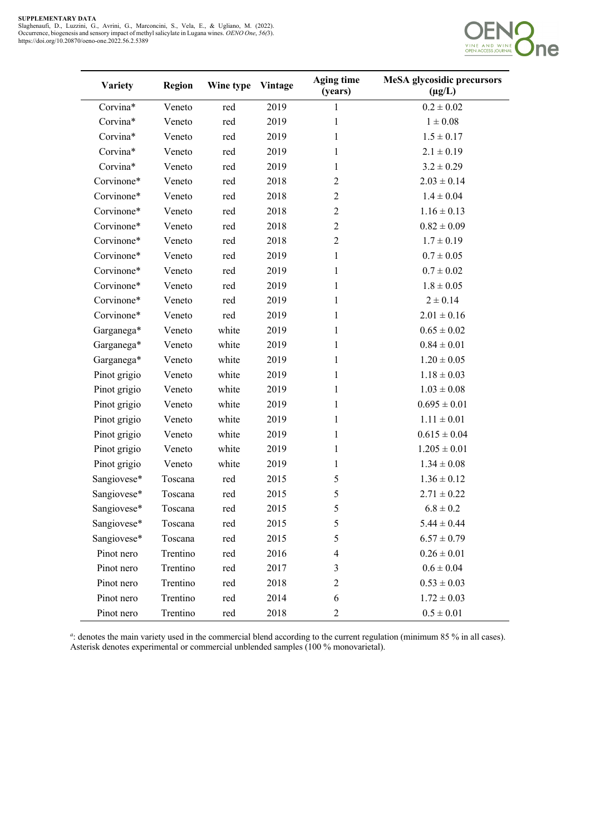J.



| <b>Variety</b> | <b>Region</b> | Wine type | <b>Vintage</b> | <b>Aging time</b><br>(years) | <b>MeSA</b> glycosidic precursors<br>$(\mu g/L)$ |
|----------------|---------------|-----------|----------------|------------------------------|--------------------------------------------------|
| Corvina*       | Veneto        | red       | 2019           | 1                            | $0.2 \pm 0.02$                                   |
| Corvina*       | Veneto        | red       | 2019           | $\mathbf{1}$                 | $1\pm0.08$                                       |
| Corvina*       | Veneto        | red       | 2019           | $\mathbf{1}$                 | $1.5 \pm 0.17$                                   |
| Corvina*       | Veneto        | red       | 2019           | $\mathbf{1}$                 | $2.1 \pm 0.19$                                   |
| Corvina*       | Veneto        | red       | 2019           | $\mathbf{1}$                 | $3.2 \pm 0.29$                                   |
| Corvinone*     | Veneto        | red       | 2018           | $\overline{2}$               | $2.03 \pm 0.14$                                  |
| Corvinone*     | Veneto        | red       | 2018           | $\overline{2}$               | $1.4 \pm 0.04$                                   |
| Corvinone*     | Veneto        | red       | 2018           | $\overline{2}$               | $1.16 \pm 0.13$                                  |
| Corvinone*     | Veneto        | red       | 2018           | $\overline{2}$               | $0.82 \pm 0.09$                                  |
| Corvinone*     | Veneto        | red       | 2018           | $\overline{2}$               | $1.7 \pm 0.19$                                   |
| Corvinone*     | Veneto        | red       | 2019           | $\mathbf{1}$                 | $0.7 \pm 0.05$                                   |
| Corvinone*     | Veneto        | red       | 2019           | $\mathbf{1}$                 | $0.7 \pm 0.02$                                   |
| Corvinone*     | Veneto        | red       | 2019           | $\mathbf{1}$                 | $1.8 \pm 0.05$                                   |
| Corvinone*     | Veneto        | red       | 2019           | $\mathbf{1}$                 | $2 \pm 0.14$                                     |
| Corvinone*     | Veneto        | red       | 2019           | $\mathbf{1}$                 | $2.01 \pm 0.16$                                  |
| Garganega*     | Veneto        | white     | 2019           | $\mathbf{1}$                 | $0.65 \pm 0.02$                                  |
| Garganega*     | Veneto        | white     | 2019           | $\mathbf{1}$                 | $0.84 \pm 0.01$                                  |
| Garganega*     | Veneto        | white     | 2019           | $\mathbf{1}$                 | $1.20 \pm 0.05$                                  |
| Pinot grigio   | Veneto        | white     | 2019           | $\mathbf{1}$                 | $1.18 \pm 0.03$                                  |
| Pinot grigio   | Veneto        | white     | 2019           | $\mathbf{1}$                 | $1.03 \pm 0.08$                                  |
| Pinot grigio   | Veneto        | white     | 2019           | $\mathbf{1}$                 | $0.695 \pm 0.01$                                 |
| Pinot grigio   | Veneto        | white     | 2019           | $\mathbf{1}$                 | $1.11 \pm 0.01$                                  |
| Pinot grigio   | Veneto        | white     | 2019           | $\mathbf{1}$                 | $0.615 \pm 0.04$                                 |
| Pinot grigio   | Veneto        | white     | 2019           | $\mathbf{1}$                 | $1.205 \pm 0.01$                                 |
| Pinot grigio   | Veneto        | white     | 2019           | $\mathbf{1}$                 | $1.34 \pm 0.08$                                  |
| Sangiovese*    | Toscana       | red       | 2015           | 5                            | $1.36 \pm 0.12$                                  |
| Sangiovese*    | Toscana       | red       | 2015           | 5                            | $2.71 \pm 0.22$                                  |
| Sangiovese*    | Toscana       | red       | 2015           | 5                            | $6.8 \pm 0.2$                                    |
| Sangiovese*    | Toscana       | red       | 2015           | 5                            | $5.44 \pm 0.44$                                  |
| Sangiovese*    | Toscana       | red       | 2015           | 5                            | $6.57 \pm 0.79$                                  |
| Pinot nero     | Trentino      | red       | 2016           | $\overline{\mathbf{4}}$      | $0.26 \pm 0.01$                                  |
| Pinot nero     | Trentino      | red       | 2017           | 3                            | $0.6 \pm 0.04$                                   |
| Pinot nero     | Trentino      | red       | 2018           | $\mathfrak{2}$               | $0.53 \pm 0.03$                                  |
| Pinot nero     | Trentino      | red       | 2014           | 6                            | $1.72 \pm 0.03$                                  |
| Pinot nero     | Trentino      | red       | 2018           | $\overline{c}$               | $0.5\pm0.01$                                     |

*a* : denotes the main variety used in the commercial blend according to the current regulation (minimum 85 % in all cases). Asterisk denotes experimental or commercial unblended samples (100 % monovarietal).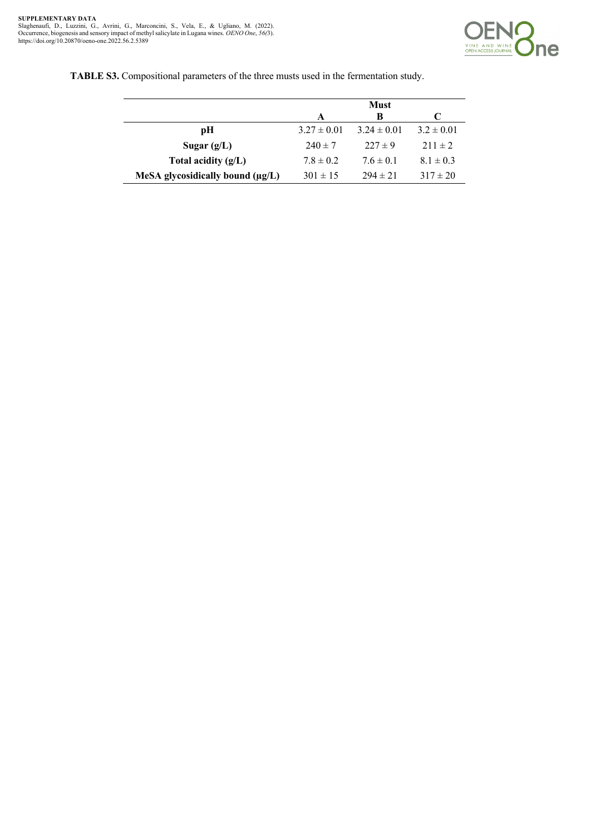

**TABLE S3.** Compositional parameters of the three musts used in the fermentation study.

|                                       |                 | <b>Must</b>     |                |
|---------------------------------------|-----------------|-----------------|----------------|
|                                       | A               | В               |                |
| рH                                    | $3.27 \pm 0.01$ | $3.24 \pm 0.01$ | $3.2 \pm 0.01$ |
| Sugar $(g/L)$                         | $240 \pm 7$     | $227 \pm 9$     | $211 \pm 2$    |
| Total acidity $(g/L)$                 | $7.8 \pm 0.2$   | $7.6 \pm 0.1$   | $8.1 \pm 0.3$  |
| MeSA glycosidically bound $(\mu g/L)$ | $301 \pm 15$    | $294 \pm 21$    | $317 \pm 20$   |